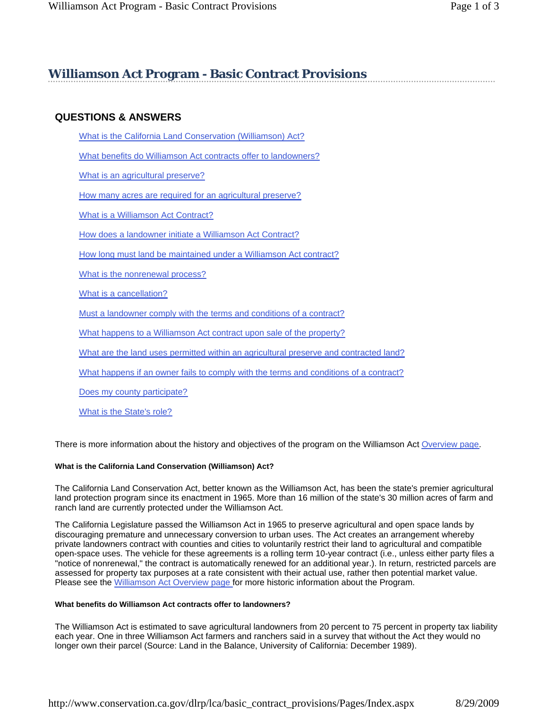# **Williamson Act Program - Basic Contract Provisions**

# **QUESTIONS & ANSWERS**

What is the California Land Conservation (Williamson) Act?

What benefits do Williamson Act contracts offer to landowners?

What is an agricultural preserve?

How many acres are required for an agricultural preserve?

What is a Williamson Act Contract?

How does a landowner initiate a Williamson Act Contract?

How long must land be maintained under a Williamson Act contract?

What is the nonrenewal process?

What is a cancellation?

Must a landowner comply with the terms and conditions of a contract?

What happens to a Williamson Act contract upon sale of the property?

What are the land uses permitted within an agricultural preserve and contracted land?

What happens if an owner fails to comply with the terms and conditions of a contract?

Does my county participate?

What is the State's role?

There is more information about the history and objectives of the program on the Williamson Act Overview page.

#### **What is the California Land Conservation (Williamson) Act?**

The California Land Conservation Act, better known as the Williamson Act, has been the state's premier agricultural land protection program since its enactment in 1965. More than 16 million of the state's 30 million acres of farm and ranch land are currently protected under the Williamson Act.

The California Legislature passed the Williamson Act in 1965 to preserve agricultural and open space lands by discouraging premature and unnecessary conversion to urban uses. The Act creates an arrangement whereby private landowners contract with counties and cities to voluntarily restrict their land to agricultural and compatible open-space uses. The vehicle for these agreements is a rolling term 10-year contract (i.e., unless either party files a "notice of nonrenewal," the contract is automatically renewed for an additional year.). In return, restricted parcels are assessed for property tax purposes at a rate consistent with their actual use, rather then potential market value. Please see the Williamson Act Overview page for more historic information about the Program.

#### **What benefits do Williamson Act contracts offer to landowners?**

The Williamson Act is estimated to save agricultural landowners from 20 percent to 75 percent in property tax liability each year. One in three Williamson Act farmers and ranchers said in a survey that without the Act they would no longer own their parcel (Source: Land in the Balance, University of California: December 1989).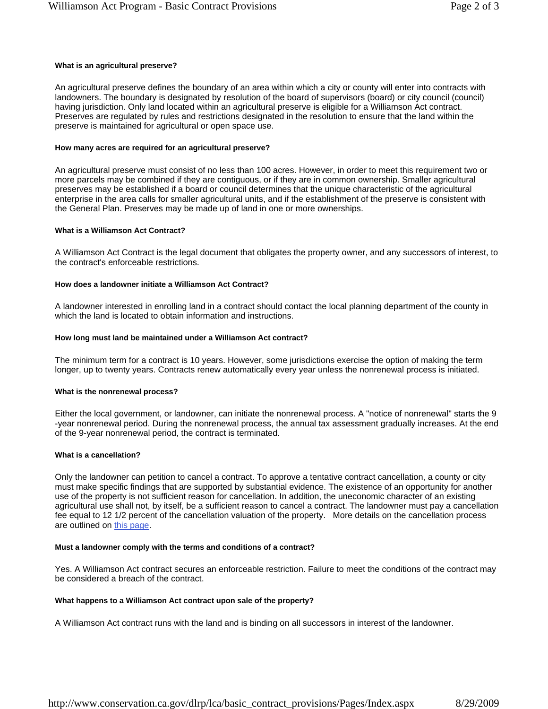#### **What is an agricultural preserve?**

An agricultural preserve defines the boundary of an area within which a city or county will enter into contracts with landowners. The boundary is designated by resolution of the board of supervisors (board) or city council (council) having jurisdiction. Only land located within an agricultural preserve is eligible for a Williamson Act contract. Preserves are regulated by rules and restrictions designated in the resolution to ensure that the land within the preserve is maintained for agricultural or open space use.

#### **How many acres are required for an agricultural preserve?**

An agricultural preserve must consist of no less than 100 acres. However, in order to meet this requirement two or more parcels may be combined if they are contiguous, or if they are in common ownership. Smaller agricultural preserves may be established if a board or council determines that the unique characteristic of the agricultural enterprise in the area calls for smaller agricultural units, and if the establishment of the preserve is consistent with the General Plan. Preserves may be made up of land in one or more ownerships.

## **What is a Williamson Act Contract?**

A Williamson Act Contract is the legal document that obligates the property owner, and any successors of interest, to the contract's enforceable restrictions.

# **How does a landowner initiate a Williamson Act Contract?**

A landowner interested in enrolling land in a contract should contact the local planning department of the county in which the land is located to obtain information and instructions.

# **How long must land be maintained under a Williamson Act contract?**

The minimum term for a contract is 10 years. However, some jurisdictions exercise the option of making the term longer, up to twenty years. Contracts renew automatically every year unless the nonrenewal process is initiated.

## **What is the nonrenewal process?**

Either the local government, or landowner, can initiate the nonrenewal process. A "notice of nonrenewal" starts the 9 -year nonrenewal period. During the nonrenewal process, the annual tax assessment gradually increases. At the end of the 9-year nonrenewal period, the contract is terminated.

# **What is a cancellation?**

Only the landowner can petition to cancel a contract. To approve a tentative contract cancellation, a county or city must make specific findings that are supported by substantial evidence. The existence of an opportunity for another use of the property is not sufficient reason for cancellation. In addition, the uneconomic character of an existing agricultural use shall not, by itself, be a sufficient reason to cancel a contract. The landowner must pay a cancellation fee equal to 12 1/2 percent of the cancellation valuation of the property. More details on the cancellation process are outlined on this page.

## **Must a landowner comply with the terms and conditions of a contract?**

Yes. A Williamson Act contract secures an enforceable restriction. Failure to meet the conditions of the contract may be considered a breach of the contract.

# **What happens to a Williamson Act contract upon sale of the property?**

A Williamson Act contract runs with the land and is binding on all successors in interest of the landowner.